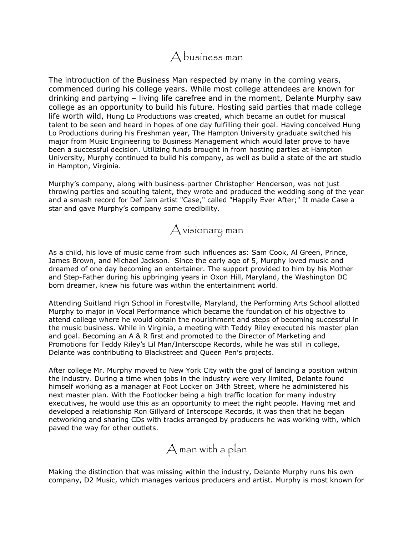

The introduction of the Business Man respected by many in the coming years, commenced during his college years. While most college attendees are known for drinking and partying – living life carefree and in the moment, Delante Murphy saw college as an opportunity to build his future. Hosting said parties that made college life worth wild, Hung Lo Productions was created, which became an outlet for musical talent to be seen and heard in hopes of one day fulfilling their goal. Having conceived Hung Lo Productions during his Freshman year, The Hampton University graduate switched his major from Music Engineering to Business Management which would later prove to have been a successful decision. Utilizing funds brought in from hosting parties at Hampton University, Murphy continued to build his company, as well as build a state of the art studio in Hampton, Virginia.

Murphy's company, along with business-partner Christopher Henderson, was not just throwing parties and scouting talent, they wrote and produced the wedding song of the year and a smash record for Def Jam artist "Case," called "Happily Ever After;" It made Case a star and gave Murphy's company some credibility.



As a child, his love of music came from such influences as: Sam Cook, Al Green, Prince, James Brown, and Michael Jackson. Since the early age of 5, Murphy loved music and dreamed of one day becoming an entertainer. The support provided to him by his Mother and Step-Father during his upbringing years in Oxon Hill, Maryland, the Washington DC born dreamer, knew his future was within the entertainment world.

Attending Suitland High School in Forestville, Maryland, the Performing Arts School allotted Murphy to major in Vocal Performance which became the foundation of his objective to attend college where he would obtain the nourishment and steps of becoming successful in the music business. While in Virginia, a meeting with Teddy Riley executed his master plan and goal. Becoming an A & R first and promoted to the Director of Marketing and Promotions for Teddy Riley's Lil Man/Interscope Records, while he was still in college, Delante was contributing to Blackstreet and Queen Pen's projects.

After college Mr. Murphy moved to New York City with the goal of landing a position within the industry. During a time when jobs in the industry were very limited, Delante found himself working as a manager at Foot Locker on 34th Street, where he administered his next master plan. With the Footlocker being a high traffic location for many industry executives, he would use this as an opportunity to meet the right people. Having met and developed a relationship Ron Gillyard of Interscope Records, it was then that he began networking and sharing CDs with tracks arranged by producers he was working with, which paved the way for other outlets.

A man with a plan

Making the distinction that was missing within the industry, Delante Murphy runs his own company, D2 Music, which manages various producers and artist. Murphy is most known for